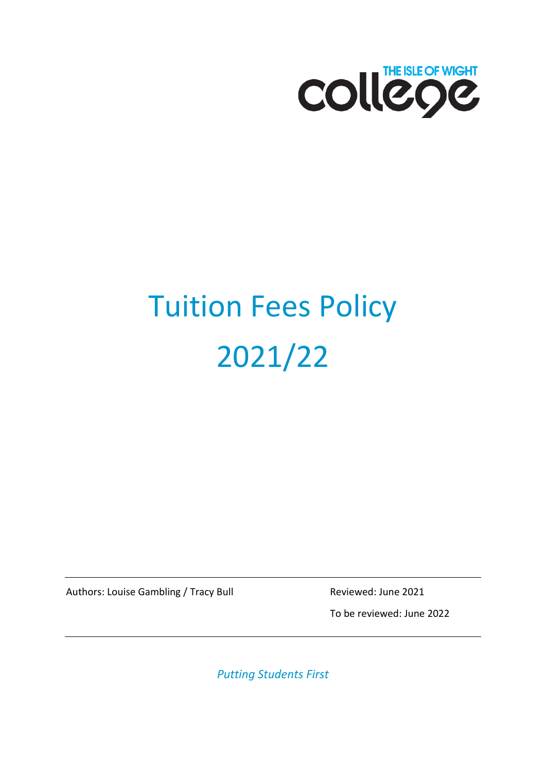

# Tuition Fees Policy 2021/22

Authors: Louise Gambling / Tracy Bull Reviewed: June 2021

To be reviewed: June 2022

*Putting Students First*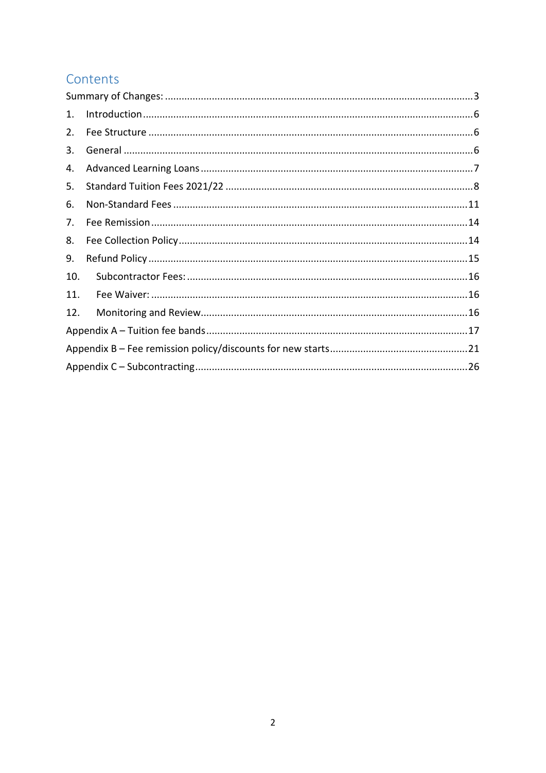# Contents

| 1.  |  |  |  |  |
|-----|--|--|--|--|
| 2.  |  |  |  |  |
| 3.  |  |  |  |  |
| 4.  |  |  |  |  |
| 5.  |  |  |  |  |
| 6.  |  |  |  |  |
| 7.  |  |  |  |  |
| 8.  |  |  |  |  |
| 9.  |  |  |  |  |
| 10. |  |  |  |  |
| 11. |  |  |  |  |
| 12. |  |  |  |  |
|     |  |  |  |  |
|     |  |  |  |  |
|     |  |  |  |  |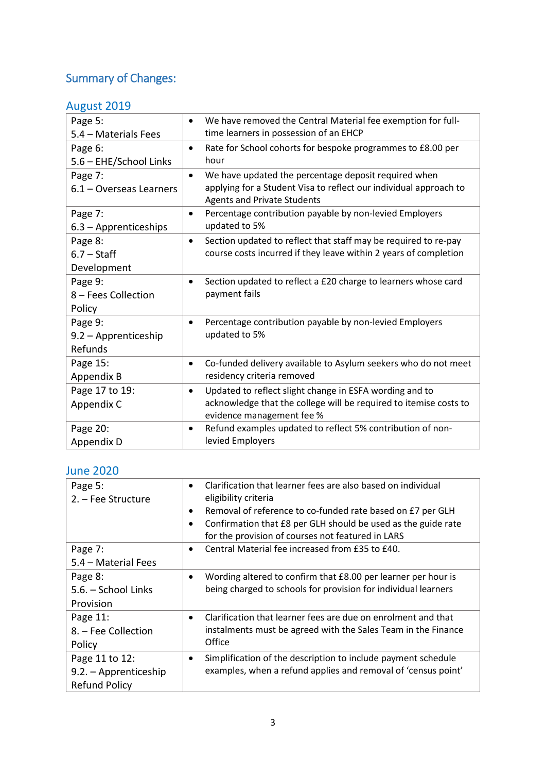# <span id="page-2-0"></span>Summary of Changes:

# August 2019

| We have removed the Central Material fee exemption for full-      |
|-------------------------------------------------------------------|
|                                                                   |
|                                                                   |
| Rate for School cohorts for bespoke programmes to £8.00 per       |
|                                                                   |
|                                                                   |
|                                                                   |
|                                                                   |
|                                                                   |
|                                                                   |
| Section updated to reflect that staff may be required to re-pay   |
| course costs incurred if they leave within 2 years of completion  |
|                                                                   |
| Section updated to reflect a £20 charge to learners whose card    |
|                                                                   |
|                                                                   |
|                                                                   |
|                                                                   |
|                                                                   |
| Co-funded delivery available to Asylum seekers who do not meet    |
|                                                                   |
|                                                                   |
| acknowledge that the college will be required to itemise costs to |
|                                                                   |
|                                                                   |
|                                                                   |
| applying for a Student Visa to reflect our individual approach to |

# June 2020

| Page 5:<br>2. – Fee Structure                                   | Clarification that learner fees are also based on individual<br>$\bullet$<br>eligibility criteria<br>Removal of reference to co-funded rate based on £7 per GLH<br>٠ |
|-----------------------------------------------------------------|----------------------------------------------------------------------------------------------------------------------------------------------------------------------|
|                                                                 | Confirmation that £8 per GLH should be used as the guide rate<br>$\bullet$<br>for the provision of courses not featured in LARS                                      |
| Page 7:<br>5.4 – Material Fees                                  | Central Material fee increased from £35 to £40.<br>$\bullet$                                                                                                         |
| Page 8:<br>5.6. - School Links<br>Provision                     | Wording altered to confirm that £8.00 per learner per hour is<br>$\bullet$<br>being charged to schools for provision for individual learners                         |
| Page 11:<br>8. – Fee Collection<br>Policy                       | Clarification that learner fees are due on enrolment and that<br>$\bullet$<br>instalments must be agreed with the Sales Team in the Finance<br>Office                |
| Page 11 to 12:<br>9.2. - Apprenticeship<br><b>Refund Policy</b> | Simplification of the description to include payment schedule<br>٠<br>examples, when a refund applies and removal of 'census point'                                  |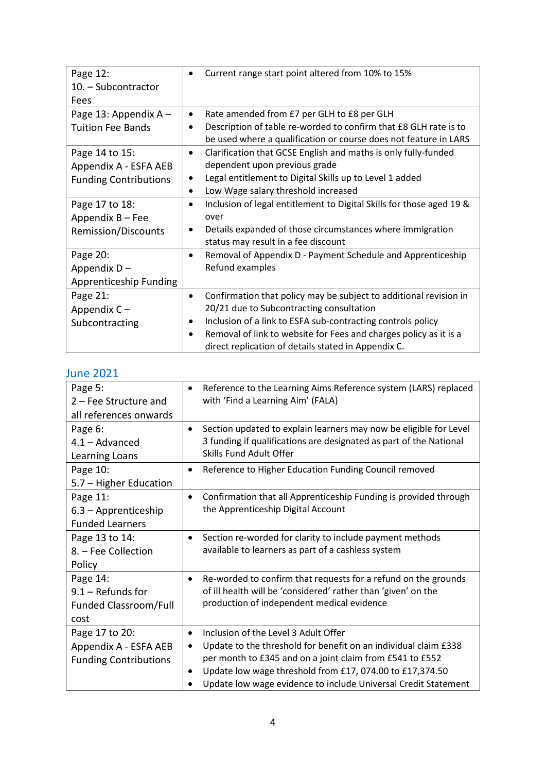| Page 12:<br>10. - Subcontractor<br>Fees | Current range start point altered from 10% to 15%<br>$\bullet$                                                                            |
|-----------------------------------------|-------------------------------------------------------------------------------------------------------------------------------------------|
| Page 13: Appendix A -                   | Rate amended from £7 per GLH to £8 per GLH<br>$\bullet$                                                                                   |
| <b>Tuition Fee Bands</b>                | Description of table re-worded to confirm that £8 GLH rate is to<br>٠<br>be used where a qualification or course does not feature in LARS |
| Page 14 to 15:<br>Appendix A - ESFA AEB | Clarification that GCSE English and maths is only fully-funded<br>$\bullet$<br>dependent upon previous grade                              |
| <b>Funding Contributions</b>            | Legal entitlement to Digital Skills up to Level 1 added<br>$\bullet$                                                                      |
|                                         | Low Wage salary threshold increased<br>$\bullet$                                                                                          |
| Page 17 to 18:                          | Inclusion of legal entitlement to Digital Skills for those aged 19 &<br>$\bullet$                                                         |
| Appendix B - Fee                        | over                                                                                                                                      |
| <b>Remission/Discounts</b>              | Details expanded of those circumstances where immigration<br>٠<br>status may result in a fee discount                                     |
| Page 20:                                | Removal of Appendix D - Payment Schedule and Apprenticeship<br>$\bullet$                                                                  |
| Appendix $D -$                          | Refund examples                                                                                                                           |
| Apprenticeship Funding                  |                                                                                                                                           |
| Page 21:                                | Confirmation that policy may be subject to additional revision in<br>$\bullet$                                                            |
| Appendix $C -$                          | 20/21 due to Subcontracting consultation                                                                                                  |
| Subcontracting                          | Inclusion of a link to ESFA sub-contracting controls policy<br>٠                                                                          |
|                                         | Removal of link to website for Fees and charges policy as it is a<br>$\bullet$<br>direct replication of details stated in Appendix C.     |

# June 2021

| Page 5:<br>2 – Fee Structure and<br>all references onwards              | $\bullet$                           | Reference to the Learning Aims Reference system (LARS) replaced<br>with 'Find a Learning Aim' (FALA)                                                                                                                                                                                              |
|-------------------------------------------------------------------------|-------------------------------------|---------------------------------------------------------------------------------------------------------------------------------------------------------------------------------------------------------------------------------------------------------------------------------------------------|
| Page 6:<br>$4.1 -$ Advanced<br>Learning Loans                           | $\bullet$                           | Section updated to explain learners may now be eligible for Level<br>3 funding if qualifications are designated as part of the National<br>Skills Fund Adult Offer                                                                                                                                |
| Page 10:<br>5.7 - Higher Education                                      | $\bullet$                           | Reference to Higher Education Funding Council removed                                                                                                                                                                                                                                             |
| Page 11:<br>6.3 - Apprenticeship<br><b>Funded Learners</b>              | $\bullet$                           | Confirmation that all Apprenticeship Funding is provided through<br>the Apprenticeship Digital Account                                                                                                                                                                                            |
| Page 13 to 14:<br>8. - Fee Collection<br>Policy                         | ٠                                   | Section re-worded for clarity to include payment methods<br>available to learners as part of a cashless system                                                                                                                                                                                    |
| Page 14:<br>$9.1 -$ Refunds for<br>Funded Classroom/Full<br>cost        | $\bullet$                           | Re-worded to confirm that requests for a refund on the grounds<br>of ill health will be 'considered' rather than 'given' on the<br>production of independent medical evidence                                                                                                                     |
| Page 17 to 20:<br>Appendix A - ESFA AEB<br><b>Funding Contributions</b> | $\bullet$<br>$\bullet$<br>$\bullet$ | Inclusion of the Level 3 Adult Offer<br>Update to the threshold for benefit on an individual claim £338<br>per month to £345 and on a joint claim from £541 to £552<br>Update low wage threshold from £17, 074.00 to £17,374.50<br>Update low wage evidence to include Universal Credit Statement |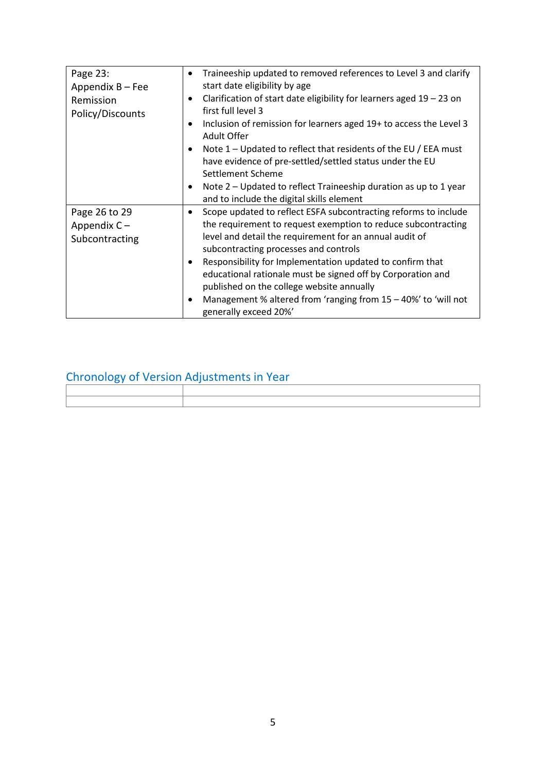| Page 23:<br>Appendix B - Fee<br>Remission<br>Policy/Discounts | Traineeship updated to removed references to Level 3 and clarify<br>$\bullet$<br>start date eligibility by age<br>Clarification of start date eligibility for learners aged $19 - 23$ on<br>$\bullet$<br>first full level 3<br>Inclusion of remission for learners aged 19+ to access the Level 3<br>$\bullet$<br>Adult Offer<br>Note $1$ – Updated to reflect that residents of the EU / EEA must<br>$\bullet$<br>have evidence of pre-settled/settled status under the EU<br>Settlement Scheme<br>Note 2 – Updated to reflect Traineeship duration as up to 1 year<br>$\bullet$<br>and to include the digital skills element |
|---------------------------------------------------------------|--------------------------------------------------------------------------------------------------------------------------------------------------------------------------------------------------------------------------------------------------------------------------------------------------------------------------------------------------------------------------------------------------------------------------------------------------------------------------------------------------------------------------------------------------------------------------------------------------------------------------------|
| Page 26 to 29<br>Appendix $C -$<br>Subcontracting             | Scope updated to reflect ESFA subcontracting reforms to include<br>$\bullet$<br>the requirement to request exemption to reduce subcontracting<br>level and detail the requirement for an annual audit of<br>subcontracting processes and controls<br>Responsibility for Implementation updated to confirm that<br>٠<br>educational rationale must be signed off by Corporation and<br>published on the college website annually<br>Management % altered from 'ranging from 15 - 40%' to 'will not<br>$\bullet$<br>generally exceed 20%'                                                                                        |

# Chronology of Version Adjustments in Year

| conditions of version adjustments in real |  |  |  |
|-------------------------------------------|--|--|--|
|                                           |  |  |  |
|                                           |  |  |  |
|                                           |  |  |  |
|                                           |  |  |  |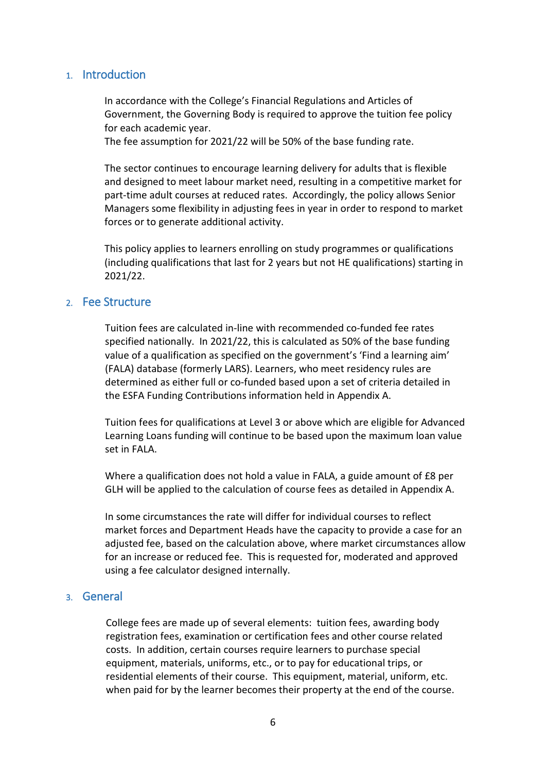# <span id="page-5-0"></span>1. Introduction

In accordance with the College's Financial Regulations and Articles of Government, the Governing Body is required to approve the tuition fee policy for each academic year.

The fee assumption for 2021/22 will be 50% of the base funding rate.

The sector continues to encourage learning delivery for adults that is flexible and designed to meet labour market need, resulting in a competitive market for part-time adult courses at reduced rates. Accordingly, the policy allows Senior Managers some flexibility in adjusting fees in year in order to respond to market forces or to generate additional activity.

This policy applies to learners enrolling on study programmes or qualifications (including qualifications that last for 2 years but not HE qualifications) starting in 2021/22.

# <span id="page-5-1"></span>2. Fee Structure

Tuition fees are calculated in-line with recommended co-funded fee rates specified nationally. In 2021/22, this is calculated as 50% of the base funding value of a qualification as specified on the government's 'Find a learning aim' (FALA) database (formerly LARS). Learners, who meet residency rules are determined as either full or co-funded based upon a set of criteria detailed in the ESFA Funding Contributions information held in Appendix A.

Tuition fees for qualifications at Level 3 or above which are eligible for Advanced Learning Loans funding will continue to be based upon the maximum loan value set in FALA.

Where a qualification does not hold a value in FALA, a guide amount of £8 per GLH will be applied to the calculation of course fees as detailed in Appendix A.

In some circumstances the rate will differ for individual courses to reflect market forces and Department Heads have the capacity to provide a case for an adjusted fee, based on the calculation above, where market circumstances allow for an increase or reduced fee. This is requested for, moderated and approved using a fee calculator designed internally.

# <span id="page-5-2"></span>3. General

College fees are made up of several elements: tuition fees, awarding body registration fees, examination or certification fees and other course related costs. In addition, certain courses require learners to purchase special equipment, materials, uniforms, etc., or to pay for educational trips, or residential elements of their course. This equipment, material, uniform, etc. when paid for by the learner becomes their property at the end of the course.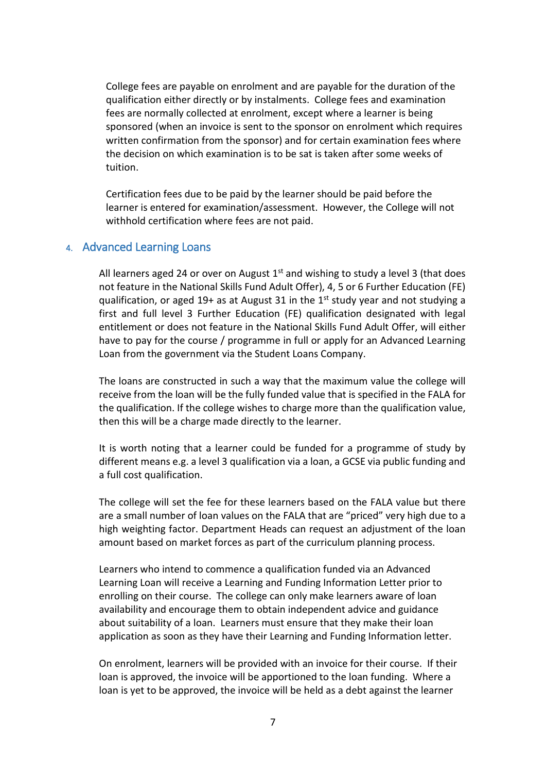College fees are payable on enrolment and are payable for the duration of the qualification either directly or by instalments. College fees and examination fees are normally collected at enrolment, except where a learner is being sponsored (when an invoice is sent to the sponsor on enrolment which requires written confirmation from the sponsor) and for certain examination fees where the decision on which examination is to be sat is taken after some weeks of tuition.

Certification fees due to be paid by the learner should be paid before the learner is entered for examination/assessment. However, the College will not withhold certification where fees are not paid.

# <span id="page-6-0"></span>4. Advanced Learning Loans

All learners aged 24 or over on August  $1<sup>st</sup>$  and wishing to study a level 3 (that does not feature in the National Skills Fund Adult Offer), 4, 5 or 6 Further Education (FE) qualification, or aged 19+ as at August 31 in the  $1<sup>st</sup>$  study year and not studying a first and full level 3 Further Education (FE) qualification designated with legal entitlement or does not feature in the National Skills Fund Adult Offer, will either have to pay for the course / programme in full or apply for an Advanced Learning Loan from the government via the Student Loans Company.

The loans are constructed in such a way that the maximum value the college will receive from the loan will be the fully funded value that is specified in the FALA for the qualification. If the college wishes to charge more than the qualification value, then this will be a charge made directly to the learner.

It is worth noting that a learner could be funded for a programme of study by different means e.g. a level 3 qualification via a loan, a GCSE via public funding and a full cost qualification.

The college will set the fee for these learners based on the FALA value but there are a small number of loan values on the FALA that are "priced" very high due to a high weighting factor. Department Heads can request an adjustment of the loan amount based on market forces as part of the curriculum planning process.

Learners who intend to commence a qualification funded via an Advanced Learning Loan will receive a Learning and Funding Information Letter prior to enrolling on their course. The college can only make learners aware of loan availability and encourage them to obtain independent advice and guidance about suitability of a loan. Learners must ensure that they make their loan application as soon as they have their Learning and Funding Information letter.

On enrolment, learners will be provided with an invoice for their course. If their loan is approved, the invoice will be apportioned to the loan funding. Where a loan is yet to be approved, the invoice will be held as a debt against the learner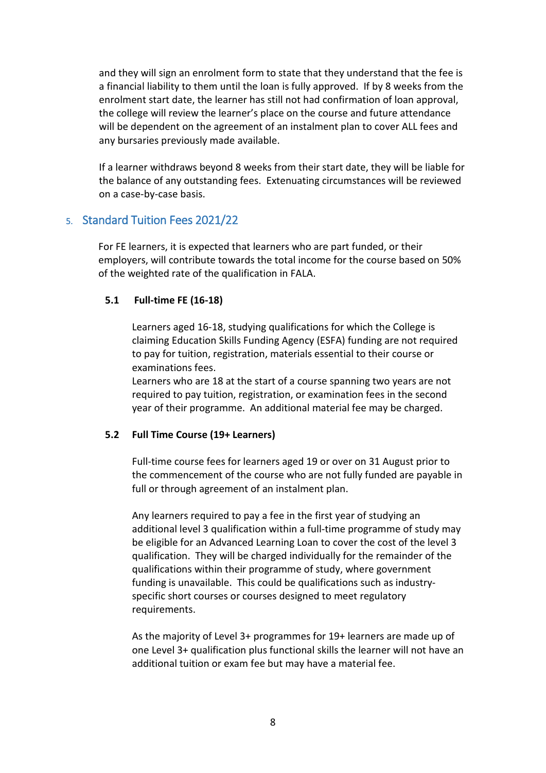and they will sign an enrolment form to state that they understand that the fee is a financial liability to them until the loan is fully approved. If by 8 weeks from the enrolment start date, the learner has still not had confirmation of loan approval, the college will review the learner's place on the course and future attendance will be dependent on the agreement of an instalment plan to cover ALL fees and any bursaries previously made available.

If a learner withdraws beyond 8 weeks from their start date, they will be liable for the balance of any outstanding fees. Extenuating circumstances will be reviewed on a case-by-case basis.

# <span id="page-7-0"></span>5. Standard Tuition Fees 2021/22

For FE learners, it is expected that learners who are part funded, or their employers, will contribute towards the total income for the course based on 50% of the weighted rate of the qualification in FALA.

# **5.1 Full-time FE (16-18)**

Learners aged 16-18, studying qualifications for which the College is claiming Education Skills Funding Agency (ESFA) funding are not required to pay for tuition, registration, materials essential to their course or examinations fees.

Learners who are 18 at the start of a course spanning two years are not required to pay tuition, registration, or examination fees in the second year of their programme. An additional material fee may be charged.

# **5.2 Full Time Course (19+ Learners)**

Full-time course fees for learners aged 19 or over on 31 August prior to the commencement of the course who are not fully funded are payable in full or through agreement of an instalment plan.

Any learners required to pay a fee in the first year of studying an additional level 3 qualification within a full-time programme of study may be eligible for an Advanced Learning Loan to cover the cost of the level 3 qualification. They will be charged individually for the remainder of the qualifications within their programme of study, where government funding is unavailable. This could be qualifications such as industryspecific short courses or courses designed to meet regulatory requirements.

As the majority of Level 3+ programmes for 19+ learners are made up of one Level 3+ qualification plus functional skills the learner will not have an additional tuition or exam fee but may have a material fee.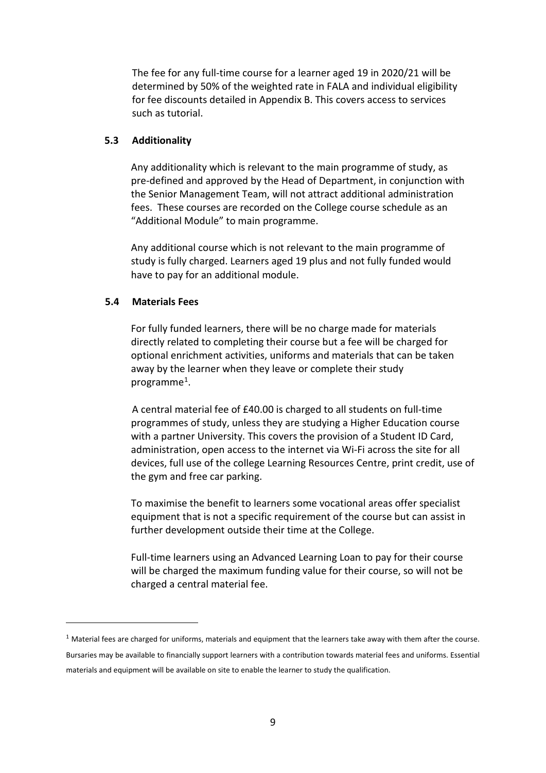The fee for any full-time course for a learner aged 19 in 2020/21 will be determined by 50% of the weighted rate in FALA and individual eligibility for fee discounts detailed in Appendix B. This covers access to services such as tutorial.

#### **5.3 Additionality**

Any additionality which is relevant to the main programme of study, as pre-defined and approved by the Head of Department, in conjunction with the Senior Management Team, will not attract additional administration fees. These courses are recorded on the College course schedule as an "Additional Module" to main programme.

Any additional course which is not relevant to the main programme of study is fully charged. Learners aged 19 plus and not fully funded would have to pay for an additional module.

#### **5.4 Materials Fees**

-

For fully funded learners, there will be no charge made for materials directly related to completing their course but a fee will be charged for optional enrichment activities, uniforms and materials that can be taken away by the learner when they leave or complete their study programme<sup>[1](#page-8-0)</sup>.

A central material fee of £40.00 is charged to all students on full-time programmes of study, unless they are studying a Higher Education course with a partner University. This covers the provision of a Student ID Card, administration, open access to the internet via Wi-Fi across the site for all devices, full use of the college Learning Resources Centre, print credit, use of the gym and free car parking.

To maximise the benefit to learners some vocational areas offer specialist equipment that is not a specific requirement of the course but can assist in further development outside their time at the College.

Full-time learners using an Advanced Learning Loan to pay for their course will be charged the maximum funding value for their course, so will not be charged a central material fee.

<span id="page-8-0"></span> $1$  Material fees are charged for uniforms, materials and equipment that the learners take away with them after the course. Bursaries may be available to financially support learners with a contribution towards material fees and uniforms. Essential materials and equipment will be available on site to enable the learner to study the qualification.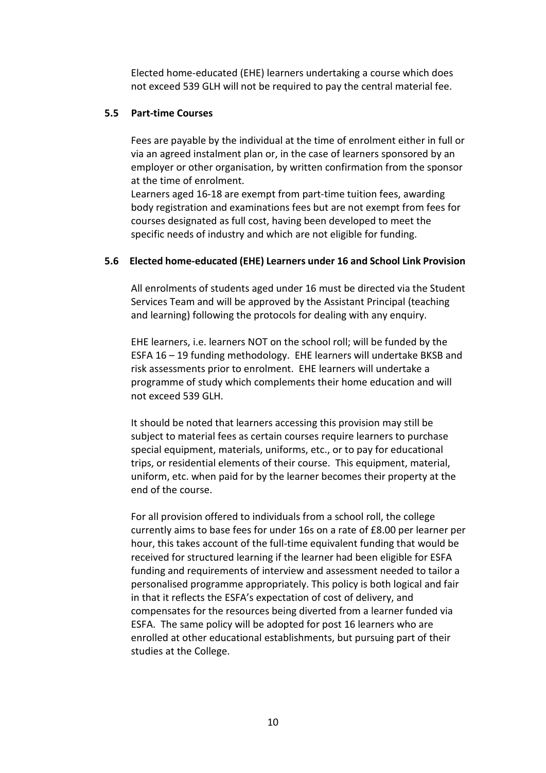Elected home-educated (EHE) learners undertaking a course which does not exceed 539 GLH will not be required to pay the central material fee.

#### **5.5 Part-time Courses**

Fees are payable by the individual at the time of enrolment either in full or via an agreed instalment plan or, in the case of learners sponsored by an employer or other organisation, by written confirmation from the sponsor at the time of enrolment.

Learners aged 16-18 are exempt from part-time tuition fees, awarding body registration and examinations fees but are not exempt from fees for courses designated as full cost, having been developed to meet the specific needs of industry and which are not eligible for funding.

## **5.6 Elected home-educated (EHE) Learners under 16 and School Link Provision**

All enrolments of students aged under 16 must be directed via the Student Services Team and will be approved by the Assistant Principal (teaching and learning) following the protocols for dealing with any enquiry.

EHE learners, i.e. learners NOT on the school roll; will be funded by the ESFA 16 – 19 funding methodology. EHE learners will undertake BKSB and risk assessments prior to enrolment. EHE learners will undertake a programme of study which complements their home education and will not exceed 539 GLH.

It should be noted that learners accessing this provision may still be subject to material fees as certain courses require learners to purchase special equipment, materials, uniforms, etc., or to pay for educational trips, or residential elements of their course. This equipment, material, uniform, etc. when paid for by the learner becomes their property at the end of the course.

For all provision offered to individuals from a school roll, the college currently aims to base fees for under 16s on a rate of £8.00 per learner per hour, this takes account of the full-time equivalent funding that would be received for structured learning if the learner had been eligible for ESFA funding and requirements of interview and assessment needed to tailor a personalised programme appropriately. This policy is both logical and fair in that it reflects the ESFA's expectation of cost of delivery, and compensates for the resources being diverted from a learner funded via ESFA. The same policy will be adopted for post 16 learners who are enrolled at other educational establishments, but pursuing part of their studies at the College.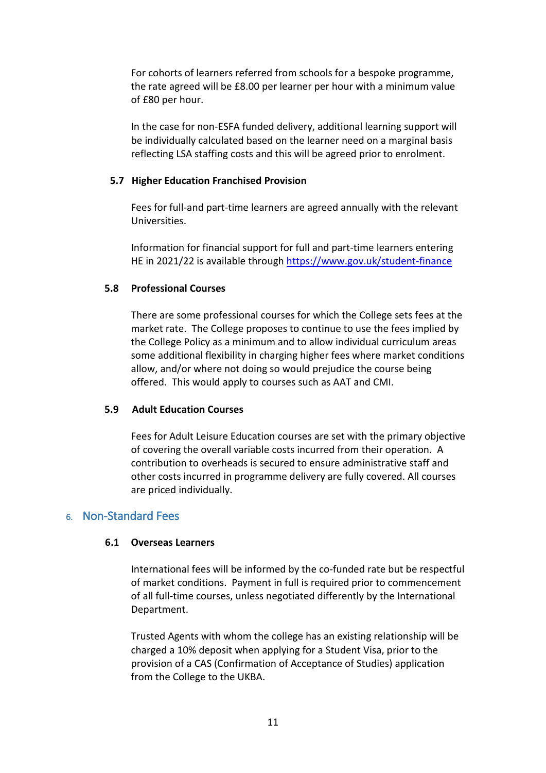For cohorts of learners referred from schools for a bespoke programme, the rate agreed will be £8.00 per learner per hour with a minimum value of £80 per hour.

In the case for non-ESFA funded delivery, additional learning support will be individually calculated based on the learner need on a marginal basis reflecting LSA staffing costs and this will be agreed prior to enrolment.

## **5.7 Higher Education Franchised Provision**

Fees for full-and part-time learners are agreed annually with the relevant Universities.

Information for financial support for full and part-time learners entering HE in 2021/22 is available through<https://www.gov.uk/student-finance>

#### **5.8 Professional Courses**

There are some professional courses for which the College sets fees at the market rate. The College proposes to continue to use the fees implied by the College Policy as a minimum and to allow individual curriculum areas some additional flexibility in charging higher fees where market conditions allow, and/or where not doing so would prejudice the course being offered. This would apply to courses such as AAT and CMI.

#### **5.9 Adult Education Courses**

Fees for Adult Leisure Education courses are set with the primary objective of covering the overall variable costs incurred from their operation. A contribution to overheads is secured to ensure administrative staff and other costs incurred in programme delivery are fully covered. All courses are priced individually.

# <span id="page-10-0"></span>6. Non-Standard Fees

#### **6.1 Overseas Learners**

International fees will be informed by the co-funded rate but be respectful of market conditions. Payment in full is required prior to commencement of all full-time courses, unless negotiated differently by the International Department.

Trusted Agents with whom the college has an existing relationship will be charged a 10% deposit when applying for a Student Visa, prior to the provision of a CAS (Confirmation of Acceptance of Studies) application from the College to the UKBA.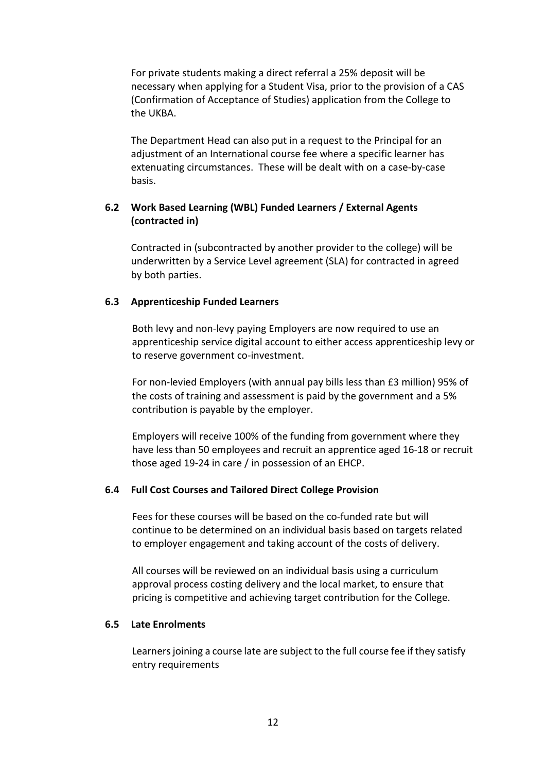For private students making a direct referral a 25% deposit will be necessary when applying for a Student Visa, prior to the provision of a CAS (Confirmation of Acceptance of Studies) application from the College to the UKBA.

The Department Head can also put in a request to the Principal for an adjustment of an International course fee where a specific learner has extenuating circumstances. These will be dealt with on a case-by-case basis.

# **6.2 Work Based Learning (WBL) Funded Learners / External Agents (contracted in)**

Contracted in (subcontracted by another provider to the college) will be underwritten by a Service Level agreement (SLA) for contracted in agreed by both parties.

## **6.3 Apprenticeship Funded Learners**

Both levy and non-levy paying Employers are now required to use an apprenticeship service digital account to either access apprenticeship levy or to reserve government co-investment.

For non-levied Employers (with annual pay bills less than £3 million) 95% of the costs of training and assessment is paid by the government and a 5% contribution is payable by the employer.

Employers will receive 100% of the funding from government where they have less than 50 employees and recruit an apprentice aged 16-18 or recruit those aged 19-24 in care / in possession of an EHCP.

## **6.4 Full Cost Courses and Tailored Direct College Provision**

Fees for these courses will be based on the co-funded rate but will continue to be determined on an individual basis based on targets related to employer engagement and taking account of the costs of delivery.

All courses will be reviewed on an individual basis using a curriculum approval process costing delivery and the local market, to ensure that pricing is competitive and achieving target contribution for the College.

## **6.5 Late Enrolments**

Learners joining a course late are subject to the full course fee if they satisfy entry requirements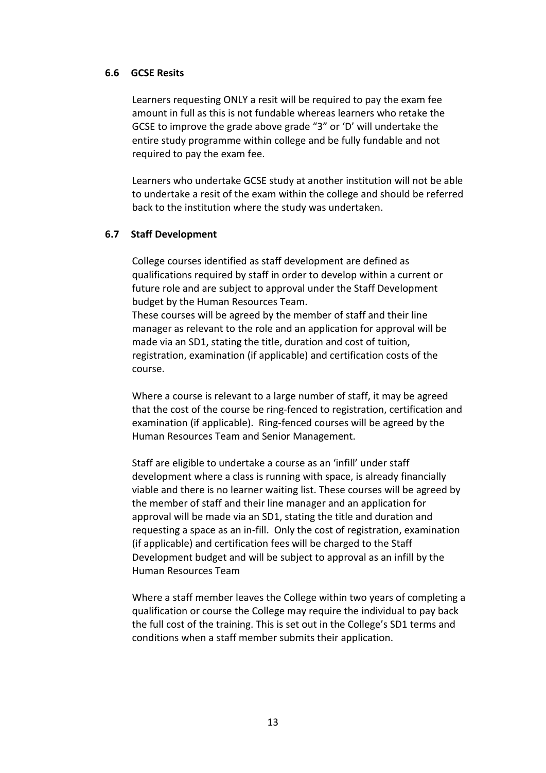## **6.6 GCSE Resits**

Learners requesting ONLY a resit will be required to pay the exam fee amount in full as this is not fundable whereas learners who retake the GCSE to improve the grade above grade "3" or 'D' will undertake the entire study programme within college and be fully fundable and not required to pay the exam fee.

Learners who undertake GCSE study at another institution will not be able to undertake a resit of the exam within the college and should be referred back to the institution where the study was undertaken.

## **6.7 Staff Development**

College courses identified as staff development are defined as qualifications required by staff in order to develop within a current or future role and are subject to approval under the Staff Development budget by the Human Resources Team.

These courses will be agreed by the member of staff and their line manager as relevant to the role and an application for approval will be made via an SD1, stating the title, duration and cost of tuition, registration, examination (if applicable) and certification costs of the course.

Where a course is relevant to a large number of staff, it may be agreed that the cost of the course be ring-fenced to registration, certification and examination (if applicable). Ring-fenced courses will be agreed by the Human Resources Team and Senior Management.

Staff are eligible to undertake a course as an 'infill' under staff development where a class is running with space, is already financially viable and there is no learner waiting list. These courses will be agreed by the member of staff and their line manager and an application for approval will be made via an SD1, stating the title and duration and requesting a space as an in-fill. Only the cost of registration, examination (if applicable) and certification fees will be charged to the Staff Development budget and will be subject to approval as an infill by the Human Resources Team

Where a staff member leaves the College within two years of completing a qualification or course the College may require the individual to pay back the full cost of the training. This is set out in the College's SD1 terms and conditions when a staff member submits their application.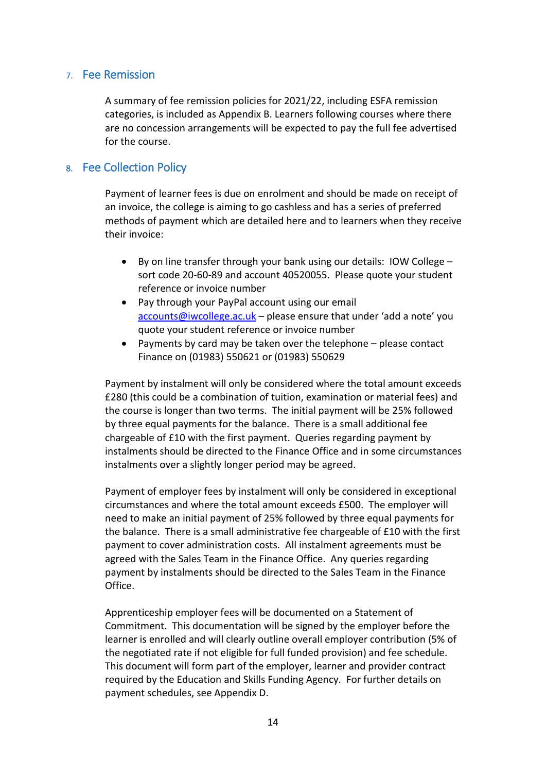# <span id="page-13-0"></span>7. Fee Remission

A summary of fee remission policies for 2021/22, including ESFA remission categories, is included as Appendix B. Learners following courses where there are no concession arrangements will be expected to pay the full fee advertised for the course.

# <span id="page-13-1"></span>8. Fee Collection Policy

Payment of learner fees is due on enrolment and should be made on receipt of an invoice, the college is aiming to go cashless and has a series of preferred methods of payment which are detailed here and to learners when they receive their invoice:

- By on line transfer through your bank using our details: IOW College sort code 20-60-89 and account 40520055. Please quote your student reference or invoice number
- Pay through your PayPal account using our email [accounts@iwcollege.ac.uk](mailto:accounts@iwcollege.ac.uk) – please ensure that under 'add a note' you quote your student reference or invoice number
- Payments by card may be taken over the telephone please contact Finance on (01983) 550621 or (01983) 550629

Payment by instalment will only be considered where the total amount exceeds £280 (this could be a combination of tuition, examination or material fees) and the course is longer than two terms. The initial payment will be 25% followed by three equal payments for the balance. There is a small additional fee chargeable of £10 with the first payment. Queries regarding payment by instalments should be directed to the Finance Office and in some circumstances instalments over a slightly longer period may be agreed.

Payment of employer fees by instalment will only be considered in exceptional circumstances and where the total amount exceeds £500. The employer will need to make an initial payment of 25% followed by three equal payments for the balance. There is a small administrative fee chargeable of £10 with the first payment to cover administration costs. All instalment agreements must be agreed with the Sales Team in the Finance Office. Any queries regarding payment by instalments should be directed to the Sales Team in the Finance Office.

Apprenticeship employer fees will be documented on a Statement of Commitment. This documentation will be signed by the employer before the learner is enrolled and will clearly outline overall employer contribution (5% of the negotiated rate if not eligible for full funded provision) and fee schedule. This document will form part of the employer, learner and provider contract required by the Education and Skills Funding Agency. For further details on payment schedules, see Appendix D.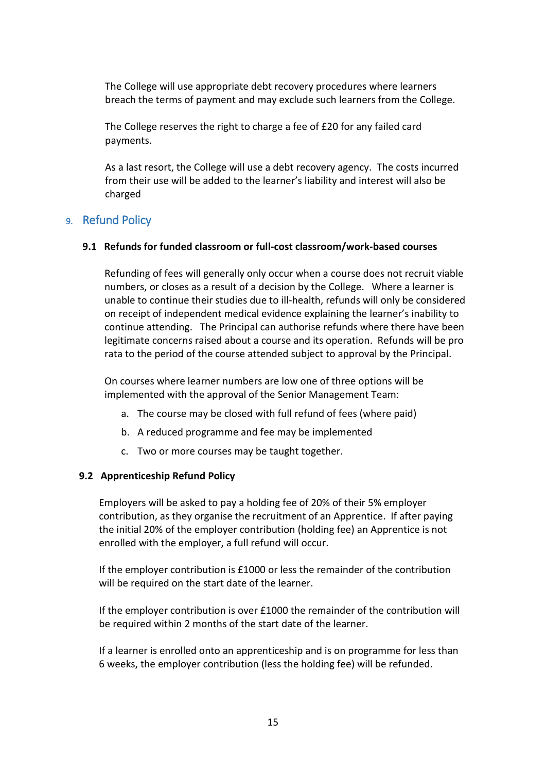The College will use appropriate debt recovery procedures where learners breach the terms of payment and may exclude such learners from the College.

The College reserves the right to charge a fee of £20 for any failed card payments.

As a last resort, the College will use a debt recovery agency. The costs incurred from their use will be added to the learner's liability and interest will also be charged

# <span id="page-14-0"></span>9. Refund Policy

## **9.1 Refunds for funded classroom or full-cost classroom/work-based courses**

Refunding of fees will generally only occur when a course does not recruit viable numbers, or closes as a result of a decision by the College. Where a learner is unable to continue their studies due to ill-health, refunds will only be considered on receipt of independent medical evidence explaining the learner's inability to continue attending. The Principal can authorise refunds where there have been legitimate concerns raised about a course and its operation. Refunds will be pro rata to the period of the course attended subject to approval by the Principal.

On courses where learner numbers are low one of three options will be implemented with the approval of the Senior Management Team:

- a. The course may be closed with full refund of fees (where paid)
- b. A reduced programme and fee may be implemented
- c. Two or more courses may be taught together.

## **9.2 Apprenticeship Refund Policy**

Employers will be asked to pay a holding fee of 20% of their 5% employer contribution, as they organise the recruitment of an Apprentice. If after paying the initial 20% of the employer contribution (holding fee) an Apprentice is not enrolled with the employer, a full refund will occur.

If the employer contribution is £1000 or less the remainder of the contribution will be required on the start date of the learner.

If the employer contribution is over £1000 the remainder of the contribution will be required within 2 months of the start date of the learner.

If a learner is enrolled onto an apprenticeship and is on programme for less than 6 weeks, the employer contribution (less the holding fee) will be refunded.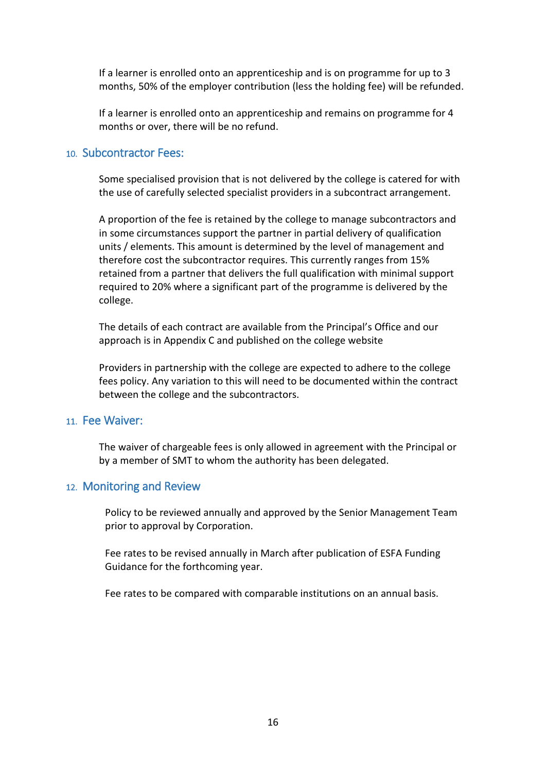If a learner is enrolled onto an apprenticeship and is on programme for up to 3 months, 50% of the employer contribution (less the holding fee) will be refunded.

If a learner is enrolled onto an apprenticeship and remains on programme for 4 months or over, there will be no refund.

# <span id="page-15-0"></span>10. Subcontractor Fees:

Some specialised provision that is not delivered by the college is catered for with the use of carefully selected specialist providers in a subcontract arrangement.

A proportion of the fee is retained by the college to manage subcontractors and in some circumstances support the partner in partial delivery of qualification units / elements. This amount is determined by the level of management and therefore cost the subcontractor requires. This currently ranges from 15% retained from a partner that delivers the full qualification with minimal support required to 20% where a significant part of the programme is delivered by the college.

The details of each contract are available from the Principal's Office and our approach is in Appendix C and published on the college website

Providers in partnership with the college are expected to adhere to the college fees policy. Any variation to this will need to be documented within the contract between the college and the subcontractors.

# <span id="page-15-1"></span>11. Fee Waiver:

The waiver of chargeable fees is only allowed in agreement with the Principal or by a member of SMT to whom the authority has been delegated.

## <span id="page-15-2"></span>12. Monitoring and Review

Policy to be reviewed annually and approved by the Senior Management Team prior to approval by Corporation.

Fee rates to be revised annually in March after publication of ESFA Funding Guidance for the forthcoming year.

Fee rates to be compared with comparable institutions on an annual basis.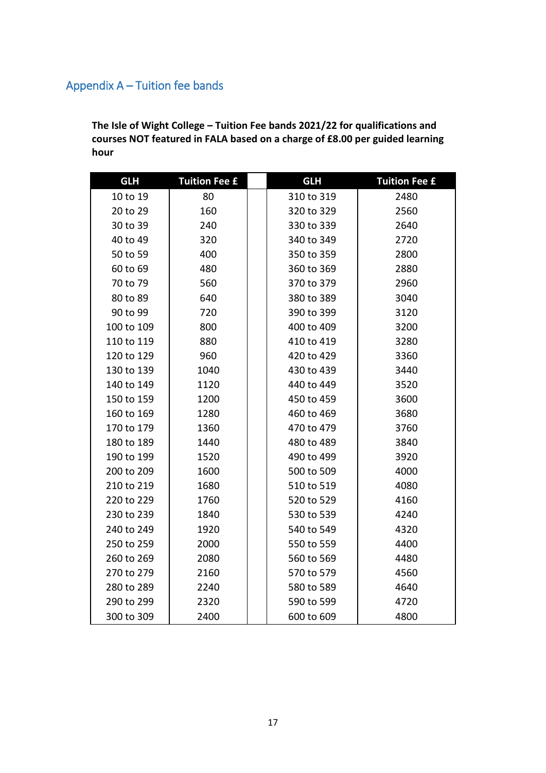# <span id="page-16-0"></span>Appendix A – Tuition fee bands

**The Isle of Wight College – Tuition Fee bands 2021/22 for qualifications and courses NOT featured in FALA based on a charge of £8.00 per guided learning hour**

| <b>GLH</b> | <b>Tuition Fee £</b> | <b>GLH</b> | <b>Tuition Fee £</b> |
|------------|----------------------|------------|----------------------|
| 10 to 19   | 80                   | 310 to 319 | 2480                 |
| 20 to 29   | 160                  | 320 to 329 | 2560                 |
| 30 to 39   | 240                  | 330 to 339 | 2640                 |
| 40 to 49   | 320                  | 340 to 349 | 2720                 |
| 50 to 59   | 400                  | 350 to 359 | 2800                 |
| 60 to 69   | 480                  | 360 to 369 | 2880                 |
| 70 to 79   | 560                  | 370 to 379 | 2960                 |
| 80 to 89   | 640                  | 380 to 389 | 3040                 |
| 90 to 99   | 720                  | 390 to 399 | 3120                 |
| 100 to 109 | 800                  | 400 to 409 | 3200                 |
| 110 to 119 | 880                  | 410 to 419 | 3280                 |
| 120 to 129 | 960                  | 420 to 429 | 3360                 |
| 130 to 139 | 1040                 | 430 to 439 | 3440                 |
| 140 to 149 | 1120                 | 440 to 449 | 3520                 |
| 150 to 159 | 1200                 | 450 to 459 | 3600                 |
| 160 to 169 | 1280                 | 460 to 469 | 3680                 |
| 170 to 179 | 1360                 | 470 to 479 | 3760                 |
| 180 to 189 | 1440                 | 480 to 489 | 3840                 |
| 190 to 199 | 1520                 | 490 to 499 | 3920                 |
| 200 to 209 | 1600                 | 500 to 509 | 4000                 |
| 210 to 219 | 1680                 | 510 to 519 | 4080                 |
| 220 to 229 | 1760                 | 520 to 529 | 4160                 |
| 230 to 239 | 1840                 | 530 to 539 | 4240                 |
| 240 to 249 | 1920                 | 540 to 549 | 4320                 |
| 250 to 259 | 2000                 | 550 to 559 | 4400                 |
| 260 to 269 | 2080                 | 560 to 569 | 4480                 |
| 270 to 279 | 2160                 | 570 to 579 | 4560                 |
| 280 to 289 | 2240                 | 580 to 589 | 4640                 |
| 290 to 299 | 2320                 | 590 to 599 | 4720                 |
| 300 to 309 | 2400                 | 600 to 609 | 4800                 |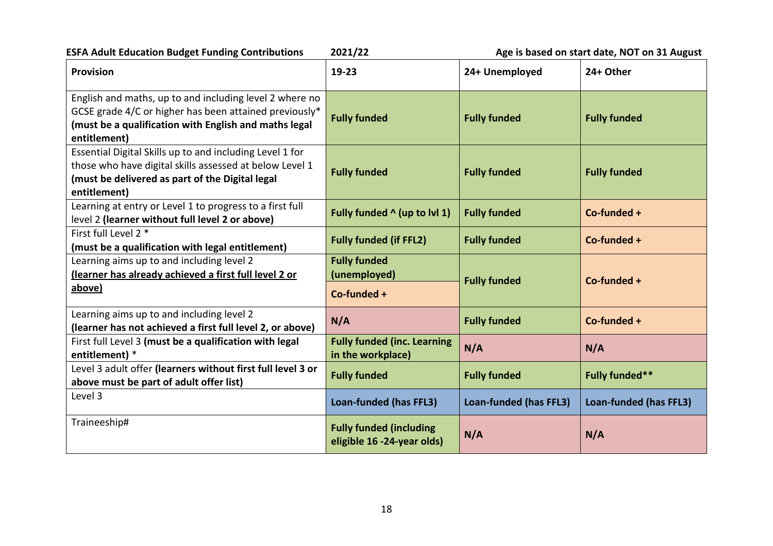**ESFA Adult Education Budget Funding Contributions** 2021/22 **Age is based on start date, NOT on 31 August** 

| <b>Provision</b>                                                                                                                                                                           | $19-23$                                                      | 24+ Unemployed         | 24+ Other              |
|--------------------------------------------------------------------------------------------------------------------------------------------------------------------------------------------|--------------------------------------------------------------|------------------------|------------------------|
| English and maths, up to and including level 2 where no<br>GCSE grade 4/C or higher has been attained previously*<br>(must be a qualification with English and maths legal<br>entitlement) | <b>Fully funded</b>                                          | <b>Fully funded</b>    | <b>Fully funded</b>    |
| Essential Digital Skills up to and including Level 1 for<br>those who have digital skills assessed at below Level 1<br>(must be delivered as part of the Digital legal<br>entitlement)     | <b>Fully funded</b>                                          | <b>Fully funded</b>    | <b>Fully funded</b>    |
| Learning at entry or Level 1 to progress to a first full<br>level 2 (learner without full level 2 or above)                                                                                | Fully funded $\wedge$ (up to lvl 1)                          | <b>Fully funded</b>    | Co-funded +            |
| First full Level 2 *<br>(must be a qualification with legal entitlement)                                                                                                                   | <b>Fully funded (if FFL2)</b>                                | <b>Fully funded</b>    | $Co$ -funded +         |
| Learning aims up to and including level 2<br>(learner has already achieved a first full level 2 or<br>above)                                                                               | <b>Fully funded</b><br>(unemployed)<br>Co-funded +           | <b>Fully funded</b>    | Co-funded +            |
| Learning aims up to and including level 2<br>(learner has not achieved a first full level 2, or above)                                                                                     | N/A                                                          | <b>Fully funded</b>    | Co-funded +            |
| First full Level 3 (must be a qualification with legal<br>entitlement) *                                                                                                                   | <b>Fully funded (inc. Learning</b><br>in the workplace)      | N/A                    | N/A                    |
| Level 3 adult offer (learners without first full level 3 or<br>above must be part of adult offer list)                                                                                     | <b>Fully funded</b>                                          | <b>Fully funded</b>    | <b>Fully funded**</b>  |
| Level 3                                                                                                                                                                                    | Loan-funded (has FFL3)                                       | Loan-funded (has FFL3) | Loan-funded (has FFL3) |
| Traineeship#                                                                                                                                                                               | <b>Fully funded (including</b><br>eligible 16 -24-year olds) | N/A                    | N/A                    |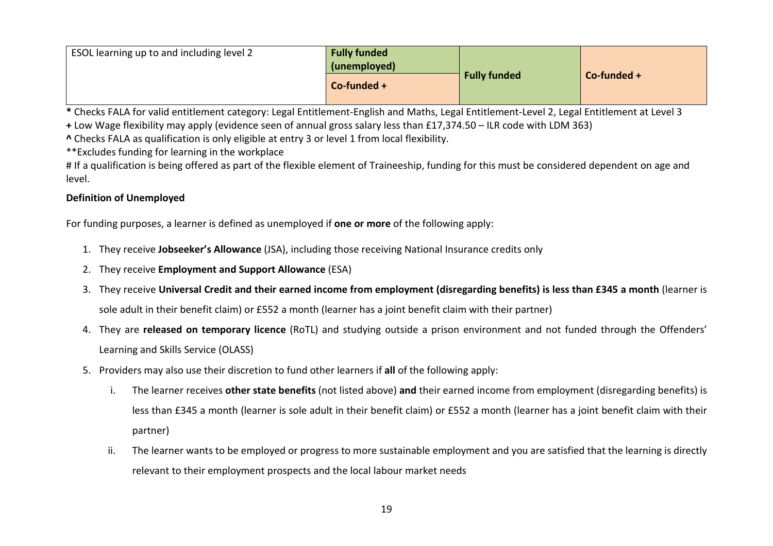| ESOL learning up to and including level 2 | <b>Fully funded</b><br>(unemployed) |                     |             |
|-------------------------------------------|-------------------------------------|---------------------|-------------|
|                                           | $Co$ -funded +                      | <b>Fully funded</b> | Co-funded + |

**\*** Checks FALA for valid entitlement category: Legal Entitlement-English and Maths, Legal Entitlement-Level 2, Legal Entitlement at Level 3

**+** Low Wage flexibility may apply (evidence seen of annual gross salary less than £17,374.50 – ILR code with LDM 363)

**^** Checks FALA as qualification is only eligible at entry 3 or level 1 from local flexibility.

\*\*Excludes funding for learning in the workplace

# If a qualification is being offered as part of the flexible element of Traineeship, funding for this must be considered dependent on age and level.

# **Definition of Unemployed**

For funding purposes, a learner is defined as unemployed if **one or more** of the following apply:

- 1. They receive **Jobseeker's Allowance** (JSA), including those receiving National Insurance credits only
- 2. They receive **Employment and Support Allowance** (ESA)
- 3. They receive **Universal Credit and their earned income from employment (disregarding benefits) is less than £345 a month** (learner is sole adult in their benefit claim) or £552 a month (learner has a joint benefit claim with their partner)
- 4. They are **released on temporary licence** (RoTL) and studying outside a prison environment and not funded through the Offenders' Learning and Skills Service (OLASS)
- 5. Providers may also use their discretion to fund other learners if **all** of the following apply:
	- i. The learner receives **other state benefits** (not listed above) **and** their earned income from employment (disregarding benefits) is less than £345 a month (learner is sole adult in their benefit claim) or £552 a month (learner has a joint benefit claim with their partner)
	- ii. The learner wants to be employed or progress to more sustainable employment and you are satisfied that the learning is directly relevant to their employment prospects and the local labour market needs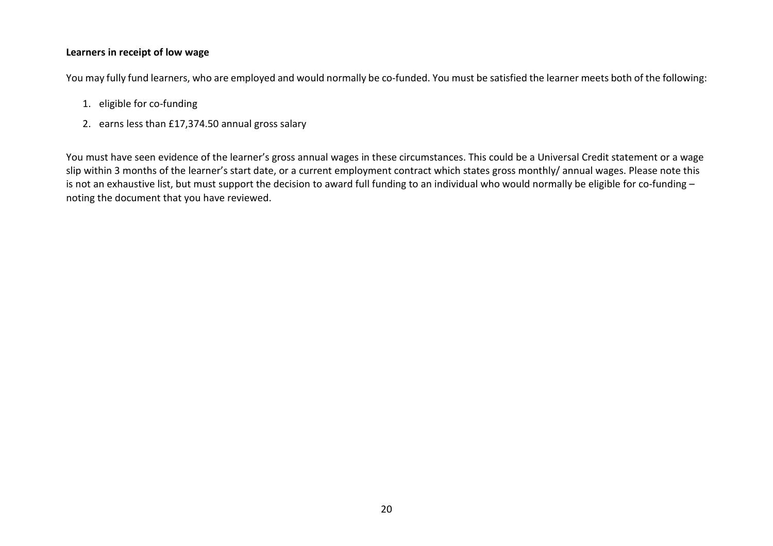# **Learners in receipt of low wage**

You may fully fund learners, who are employed and would normally be co-funded. You must be satisfied the learner meets both of the following:

- 1. eligible for co-funding
- 2. earns less than £17,374.50 annual gross salary

You must have seen evidence of the learner's gross annual wages in these circumstances. This could be a Universal Credit statement or a wage slip within 3 months of the learner's start date, or a current employment contract which states gross monthly/ annual wages. Please note this is not an exhaustive list, but must support the decision to award full funding to an individual who would normally be eligible for co-funding – noting the document that you have reviewed.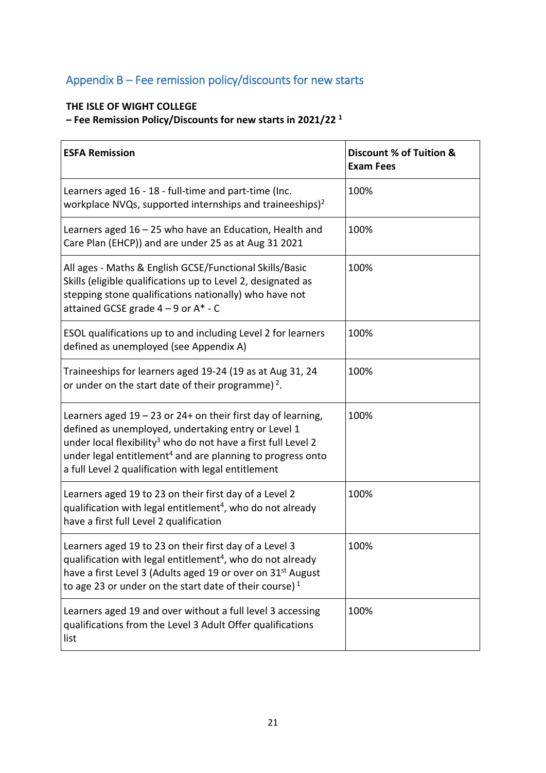# <span id="page-20-0"></span>Appendix B – Fee remission policy/discounts for new starts

# **THE ISLE OF WIGHT COLLEGE**

**– Fee Remission Policy/Discounts for new starts in 2021/22 <sup>1</sup>**

| <b>ESFA Remission</b>                                                                                                                                                                                                                                                                                                               | Discount % of Tuition &<br><b>Exam Fees</b> |
|-------------------------------------------------------------------------------------------------------------------------------------------------------------------------------------------------------------------------------------------------------------------------------------------------------------------------------------|---------------------------------------------|
| Learners aged 16 - 18 - full-time and part-time (Inc.<br>workplace NVQs, supported internships and traineeships) <sup>2</sup>                                                                                                                                                                                                       | 100%                                        |
| Learners aged 16 - 25 who have an Education, Health and<br>Care Plan (EHCP)) and are under 25 as at Aug 31 2021                                                                                                                                                                                                                     | 100%                                        |
| All ages - Maths & English GCSE/Functional Skills/Basic<br>Skills (eligible qualifications up to Level 2, designated as<br>stepping stone qualifications nationally) who have not<br>attained GCSE grade $4 - 9$ or $A^* - C$                                                                                                       | 100%                                        |
| ESOL qualifications up to and including Level 2 for learners<br>defined as unemployed (see Appendix A)                                                                                                                                                                                                                              | 100%                                        |
| Traineeships for learners aged 19-24 (19 as at Aug 31, 24<br>or under on the start date of their programme) <sup>2</sup> .                                                                                                                                                                                                          | 100%                                        |
| Learners aged $19 - 23$ or 24+ on their first day of learning,<br>defined as unemployed, undertaking entry or Level 1<br>under local flexibility <sup>3</sup> who do not have a first full Level 2<br>under legal entitlement <sup>4</sup> and are planning to progress onto<br>a full Level 2 qualification with legal entitlement | 100%                                        |
| Learners aged 19 to 23 on their first day of a Level 2<br>qualification with legal entitlement <sup>4</sup> , who do not already<br>have a first full Level 2 qualification                                                                                                                                                         | 100%                                        |
| Learners aged 19 to 23 on their first day of a Level 3<br>qualification with legal entitlement <sup>4</sup> , who do not already<br>have a first Level 3 (Adults aged 19 or over on 31 <sup>st</sup> August<br>to age 23 or under on the start date of their course) <sup>1</sup>                                                   | 100%                                        |
| Learners aged 19 and over without a full level 3 accessing<br>qualifications from the Level 3 Adult Offer qualifications<br>list                                                                                                                                                                                                    | 100%                                        |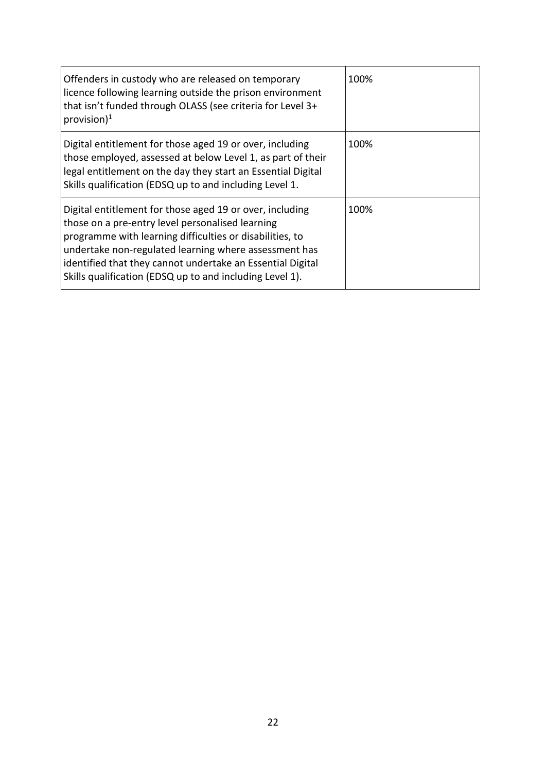| Offenders in custody who are released on temporary<br>licence following learning outside the prison environment<br>that isn't funded through OLASS (see criteria for Level 3+<br>provision) <sup>1</sup>                                                                                                                                                    | 100% |
|-------------------------------------------------------------------------------------------------------------------------------------------------------------------------------------------------------------------------------------------------------------------------------------------------------------------------------------------------------------|------|
| Digital entitlement for those aged 19 or over, including<br>those employed, assessed at below Level 1, as part of their<br>legal entitlement on the day they start an Essential Digital<br>Skills qualification (EDSQ up to and including Level 1.                                                                                                          | 100% |
| Digital entitlement for those aged 19 or over, including<br>those on a pre-entry level personalised learning<br>programme with learning difficulties or disabilities, to<br>undertake non-regulated learning where assessment has<br>identified that they cannot undertake an Essential Digital<br>Skills qualification (EDSQ up to and including Level 1). | 100% |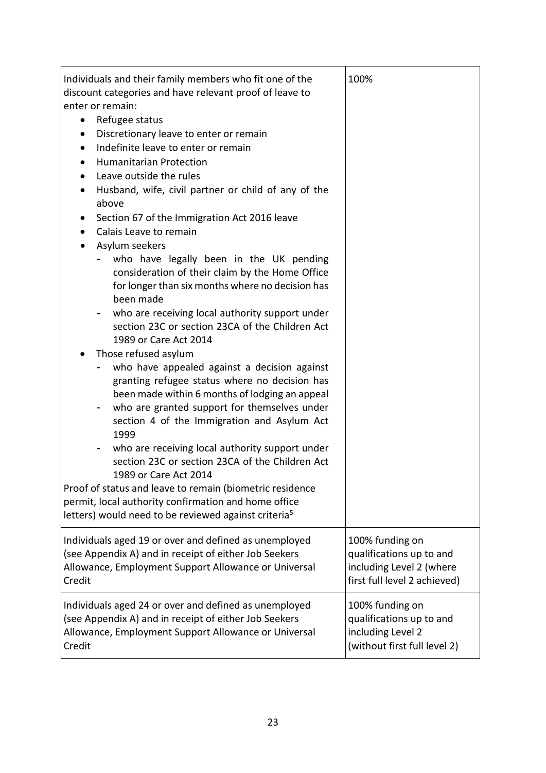| Individuals and their family members who fit one of the<br>discount categories and have relevant proof of leave to<br>enter or remain:<br>Refugee status<br>$\bullet$<br>Discretionary leave to enter or remain<br>$\bullet$<br>Indefinite leave to enter or remain<br>$\bullet$<br><b>Humanitarian Protection</b><br>$\bullet$<br>Leave outside the rules<br>$\bullet$<br>Husband, wife, civil partner or child of any of the<br>above<br>Section 67 of the Immigration Act 2016 leave<br>Calais Leave to remain<br>$\bullet$<br>Asylum seekers<br>٠<br>who have legally been in the UK pending<br>consideration of their claim by the Home Office<br>for longer than six months where no decision has<br>been made<br>who are receiving local authority support under<br>section 23C or section 23CA of the Children Act<br>1989 or Care Act 2014<br>Those refused asylum<br>who have appealed against a decision against<br>granting refugee status where no decision has<br>been made within 6 months of lodging an appeal<br>who are granted support for themselves under<br>section 4 of the Immigration and Asylum Act<br>1999<br>who are receiving local authority support under<br>section 23C or section 23CA of the Children Act<br>1989 or Care Act 2014<br>Proof of status and leave to remain (biometric residence<br>permit, local authority confirmation and home office | 100%                         |
|------------------------------------------------------------------------------------------------------------------------------------------------------------------------------------------------------------------------------------------------------------------------------------------------------------------------------------------------------------------------------------------------------------------------------------------------------------------------------------------------------------------------------------------------------------------------------------------------------------------------------------------------------------------------------------------------------------------------------------------------------------------------------------------------------------------------------------------------------------------------------------------------------------------------------------------------------------------------------------------------------------------------------------------------------------------------------------------------------------------------------------------------------------------------------------------------------------------------------------------------------------------------------------------------------------------------------------------------------------------------------------------|------------------------------|
| letters) would need to be reviewed against criteria <sup>5</sup>                                                                                                                                                                                                                                                                                                                                                                                                                                                                                                                                                                                                                                                                                                                                                                                                                                                                                                                                                                                                                                                                                                                                                                                                                                                                                                                         |                              |
| Individuals aged 19 or over and defined as unemployed                                                                                                                                                                                                                                                                                                                                                                                                                                                                                                                                                                                                                                                                                                                                                                                                                                                                                                                                                                                                                                                                                                                                                                                                                                                                                                                                    | 100% funding on              |
| (see Appendix A) and in receipt of either Job Seekers                                                                                                                                                                                                                                                                                                                                                                                                                                                                                                                                                                                                                                                                                                                                                                                                                                                                                                                                                                                                                                                                                                                                                                                                                                                                                                                                    | qualifications up to and     |
| Allowance, Employment Support Allowance or Universal                                                                                                                                                                                                                                                                                                                                                                                                                                                                                                                                                                                                                                                                                                                                                                                                                                                                                                                                                                                                                                                                                                                                                                                                                                                                                                                                     | including Level 2 (where     |
| Credit                                                                                                                                                                                                                                                                                                                                                                                                                                                                                                                                                                                                                                                                                                                                                                                                                                                                                                                                                                                                                                                                                                                                                                                                                                                                                                                                                                                   | first full level 2 achieved) |
| Individuals aged 24 or over and defined as unemployed                                                                                                                                                                                                                                                                                                                                                                                                                                                                                                                                                                                                                                                                                                                                                                                                                                                                                                                                                                                                                                                                                                                                                                                                                                                                                                                                    | 100% funding on              |
| (see Appendix A) and in receipt of either Job Seekers                                                                                                                                                                                                                                                                                                                                                                                                                                                                                                                                                                                                                                                                                                                                                                                                                                                                                                                                                                                                                                                                                                                                                                                                                                                                                                                                    | qualifications up to and     |
| Allowance, Employment Support Allowance or Universal                                                                                                                                                                                                                                                                                                                                                                                                                                                                                                                                                                                                                                                                                                                                                                                                                                                                                                                                                                                                                                                                                                                                                                                                                                                                                                                                     | including Level 2            |
| Credit                                                                                                                                                                                                                                                                                                                                                                                                                                                                                                                                                                                                                                                                                                                                                                                                                                                                                                                                                                                                                                                                                                                                                                                                                                                                                                                                                                                   | (without first full level 2) |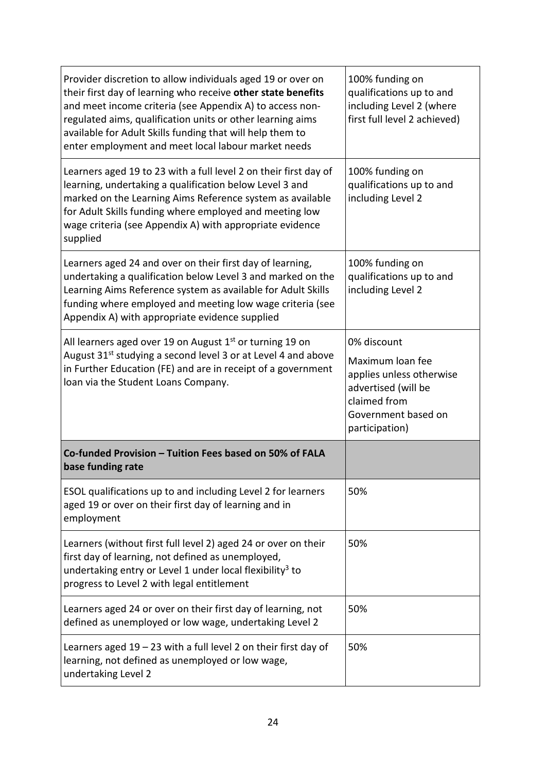| Provider discretion to allow individuals aged 19 or over on<br>their first day of learning who receive other state benefits<br>and meet income criteria (see Appendix A) to access non-<br>regulated aims, qualification units or other learning aims<br>available for Adult Skills funding that will help them to<br>enter employment and meet local labour market needs | 100% funding on<br>qualifications up to and<br>including Level 2 (where<br>first full level 2 achieved)                                     |
|---------------------------------------------------------------------------------------------------------------------------------------------------------------------------------------------------------------------------------------------------------------------------------------------------------------------------------------------------------------------------|---------------------------------------------------------------------------------------------------------------------------------------------|
| Learners aged 19 to 23 with a full level 2 on their first day of<br>learning, undertaking a qualification below Level 3 and<br>marked on the Learning Aims Reference system as available<br>for Adult Skills funding where employed and meeting low<br>wage criteria (see Appendix A) with appropriate evidence<br>supplied                                               | 100% funding on<br>qualifications up to and<br>including Level 2                                                                            |
| Learners aged 24 and over on their first day of learning,<br>undertaking a qualification below Level 3 and marked on the<br>Learning Aims Reference system as available for Adult Skills<br>funding where employed and meeting low wage criteria (see<br>Appendix A) with appropriate evidence supplied                                                                   | 100% funding on<br>qualifications up to and<br>including Level 2                                                                            |
| All learners aged over 19 on August 1 <sup>st</sup> or turning 19 on<br>August 31 <sup>st</sup> studying a second level 3 or at Level 4 and above<br>in Further Education (FE) and are in receipt of a government<br>loan via the Student Loans Company.                                                                                                                  | 0% discount<br>Maximum loan fee<br>applies unless otherwise<br>advertised (will be<br>claimed from<br>Government based on<br>participation) |
| Co-funded Provision - Tuition Fees based on 50% of FALA<br>base funding rate                                                                                                                                                                                                                                                                                              |                                                                                                                                             |
| ESOL qualifications up to and including Level 2 for learners<br>aged 19 or over on their first day of learning and in<br>employment                                                                                                                                                                                                                                       | 50%                                                                                                                                         |
| Learners (without first full level 2) aged 24 or over on their<br>first day of learning, not defined as unemployed,<br>undertaking entry or Level 1 under local flexibility <sup>3</sup> to<br>progress to Level 2 with legal entitlement                                                                                                                                 | 50%                                                                                                                                         |
| Learners aged 24 or over on their first day of learning, not<br>defined as unemployed or low wage, undertaking Level 2                                                                                                                                                                                                                                                    | 50%                                                                                                                                         |
| Learners aged $19 - 23$ with a full level 2 on their first day of<br>learning, not defined as unemployed or low wage,<br>undertaking Level 2                                                                                                                                                                                                                              | 50%                                                                                                                                         |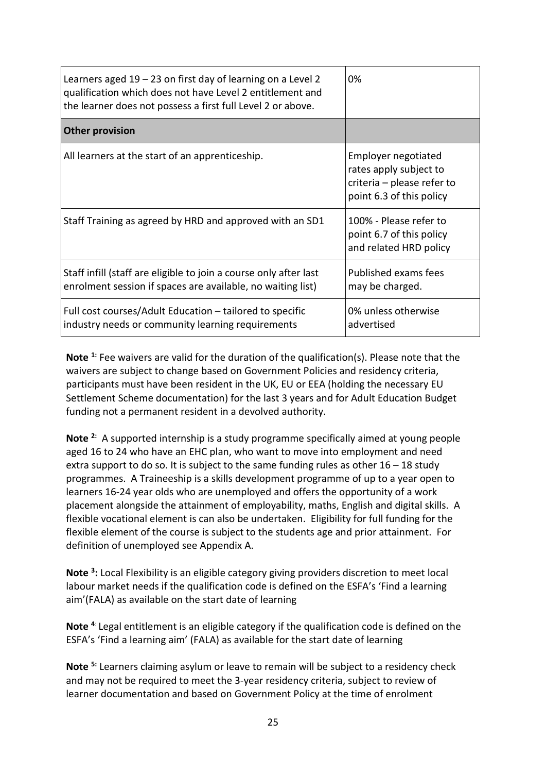| Learners aged $19 - 23$ on first day of learning on a Level 2<br>qualification which does not have Level 2 entitlement and<br>the learner does not possess a first full Level 2 or above. | 0%                                                                                                      |
|-------------------------------------------------------------------------------------------------------------------------------------------------------------------------------------------|---------------------------------------------------------------------------------------------------------|
| <b>Other provision</b>                                                                                                                                                                    |                                                                                                         |
| All learners at the start of an apprenticeship.                                                                                                                                           | Employer negotiated<br>rates apply subject to<br>criteria - please refer to<br>point 6.3 of this policy |
| Staff Training as agreed by HRD and approved with an SD1                                                                                                                                  | 100% - Please refer to<br>point 6.7 of this policy<br>and related HRD policy                            |
| Staff infill (staff are eligible to join a course only after last<br>enrolment session if spaces are available, no waiting list)                                                          | Published exams fees<br>may be charged.                                                                 |
| Full cost courses/Adult Education – tailored to specific<br>industry needs or community learning requirements                                                                             | 0% unless otherwise<br>advertised                                                                       |

**Note 1:** Fee waivers are valid for the duration of the qualification(s). Please note that the waivers are subject to change based on Government Policies and residency criteria, participants must have been resident in the UK, EU or EEA (holding the necessary EU Settlement Scheme documentation) for the last 3 years and for Adult Education Budget funding not a permanent resident in a devolved authority.

**Note 2:** A supported internship is a study programme specifically aimed at young people aged 16 to 24 who have an EHC plan, who want to move into employment and need extra support to do so. It is subject to the same funding rules as other  $16 - 18$  study programmes. A Traineeship is a skills development programme of up to a year open to learners 16-24 year olds who are unemployed and offers the opportunity of a work placement alongside the attainment of employability, maths, English and digital skills. A flexible vocational element is can also be undertaken. Eligibility for full funding for the flexible element of the course is subject to the students age and prior attainment. For definition of unemployed see Appendix A.

**Note 3:** Local Flexibility is an eligible category giving providers discretion to meet local labour market needs if the qualification code is defined on the ESFA's 'Find a learning aim'(FALA) as available on the start date of learning

**Note 4**: Legal entitlement is an eligible category if the qualification code is defined on the ESFA's 'Find a learning aim' (FALA) as available for the start date of learning

**Note 5:** Learners claiming asylum or leave to remain will be subject to a residency check and may not be required to meet the 3-year residency criteria, subject to review of learner documentation and based on Government Policy at the time of enrolment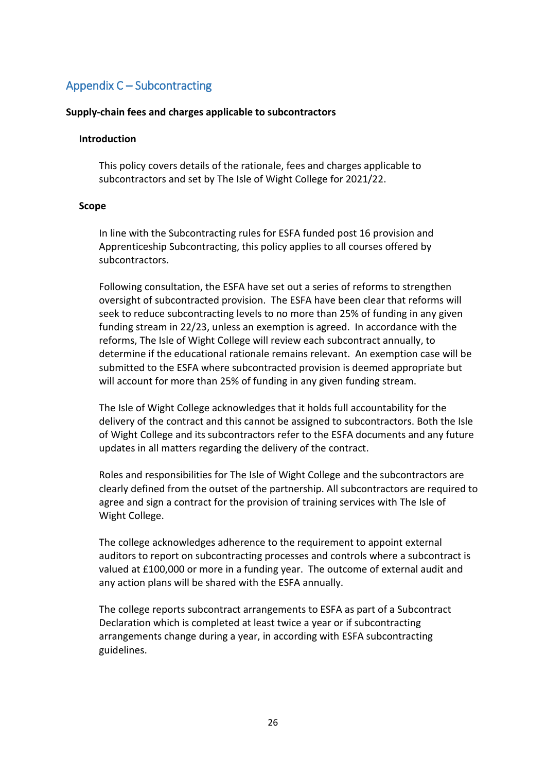# <span id="page-25-0"></span>Appendix C – Subcontracting

# **Supply-chain fees and charges applicable to subcontractors**

# **Introduction**

This policy covers details of the rationale, fees and charges applicable to subcontractors and set by The Isle of Wight College for 2021/22.

## **Scope**

In line with the Subcontracting rules for ESFA funded post 16 provision and Apprenticeship Subcontracting, this policy applies to all courses offered by subcontractors.

Following consultation, the ESFA have set out a series of reforms to strengthen oversight of subcontracted provision. The ESFA have been clear that reforms will seek to reduce subcontracting levels to no more than 25% of funding in any given funding stream in 22/23, unless an exemption is agreed. In accordance with the reforms, The Isle of Wight College will review each subcontract annually, to determine if the educational rationale remains relevant. An exemption case will be submitted to the ESFA where subcontracted provision is deemed appropriate but will account for more than 25% of funding in any given funding stream.

The Isle of Wight College acknowledges that it holds full accountability for the delivery of the contract and this cannot be assigned to subcontractors. Both the Isle of Wight College and its subcontractors refer to the ESFA documents and any future updates in all matters regarding the delivery of the contract.

Roles and responsibilities for The Isle of Wight College and the subcontractors are clearly defined from the outset of the partnership. All subcontractors are required to agree and sign a contract for the provision of training services with The Isle of Wight College.

The college acknowledges adherence to the requirement to appoint external auditors to report on subcontracting processes and controls where a subcontract is valued at £100,000 or more in a funding year. The outcome of external audit and any action plans will be shared with the ESFA annually.

The college reports subcontract arrangements to ESFA as part of a Subcontract Declaration which is completed at least twice a year or if subcontracting arrangements change during a year, in according with ESFA subcontracting guidelines.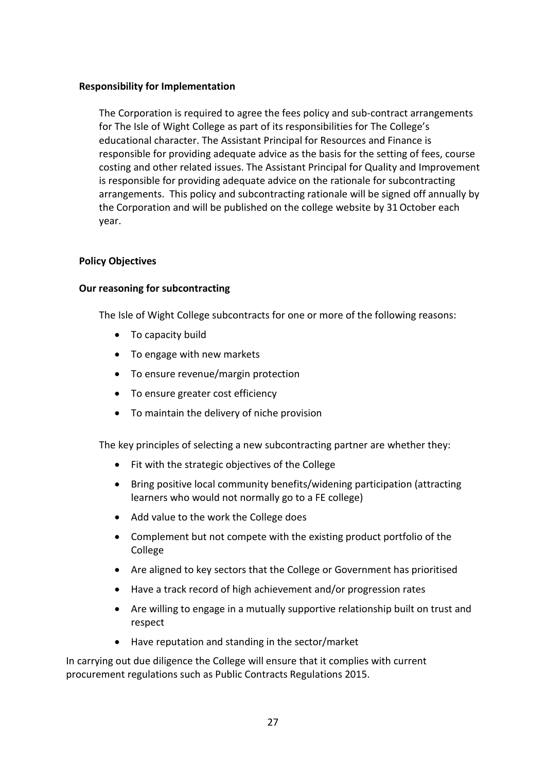## **Responsibility for Implementation**

The Corporation is required to agree the fees policy and sub-contract arrangements for The Isle of Wight College as part of its responsibilities for The College's educational character. The Assistant Principal for Resources and Finance is responsible for providing adequate advice as the basis for the setting of fees, course costing and other related issues. The Assistant Principal for Quality and Improvement is responsible for providing adequate advice on the rationale for subcontracting arrangements. This policy and subcontracting rationale will be signed off annually by the Corporation and will be published on the college website by 31October each year.

## **Policy Objectives**

## **Our reasoning for subcontracting**

The Isle of Wight College subcontracts for one or more of the following reasons:

- To capacity build
- To engage with new markets
- To ensure revenue/margin protection
- To ensure greater cost efficiency
- To maintain the delivery of niche provision

The key principles of selecting a new subcontracting partner are whether they:

- Fit with the strategic objectives of the College
- Bring positive local community benefits/widening participation (attracting learners who would not normally go to a FE college)
- Add value to the work the College does
- Complement but not compete with the existing product portfolio of the College
- Are aligned to key sectors that the College or Government has prioritised
- Have a track record of high achievement and/or progression rates
- Are willing to engage in a mutually supportive relationship built on trust and respect
- Have reputation and standing in the sector/market

In carrying out due diligence the College will ensure that it complies with current procurement regulations such as Public Contracts Regulations 2015.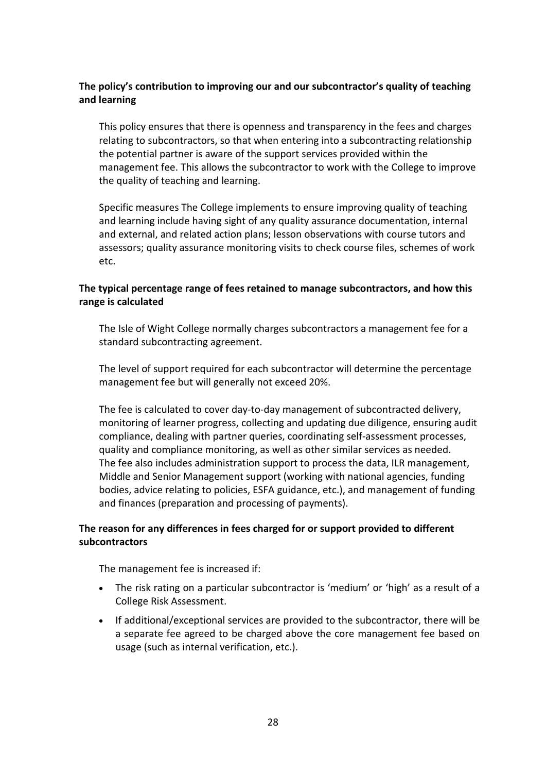# **The policy's contribution to improving our and our subcontractor's quality of teaching and learning**

This policy ensures that there is openness and transparency in the fees and charges relating to subcontractors, so that when entering into a subcontracting relationship the potential partner is aware of the support services provided within the management fee. This allows the subcontractor to work with the College to improve the quality of teaching and learning.

Specific measures The College implements to ensure improving quality of teaching and learning include having sight of any quality assurance documentation, internal and external, and related action plans; lesson observations with course tutors and assessors; quality assurance monitoring visits to check course files, schemes of work etc.

# **The typical percentage range of fees retained to manage subcontractors, and how this range is calculated**

The Isle of Wight College normally charges subcontractors a management fee for a standard subcontracting agreement.

The level of support required for each subcontractor will determine the percentage management fee but will generally not exceed 20%.

The fee is calculated to cover day-to-day management of subcontracted delivery, monitoring of learner progress, collecting and updating due diligence, ensuring audit compliance, dealing with partner queries, coordinating self-assessment processes, quality and compliance monitoring, as well as other similar services as needed. The fee also includes administration support to process the data, ILR management, Middle and Senior Management support (working with national agencies, funding bodies, advice relating to policies, ESFA guidance, etc.), and management of funding and finances (preparation and processing of payments).

# **The reason for any differences in fees charged for or support provided to different subcontractors**

The management fee is increased if:

- The risk rating on a particular subcontractor is 'medium' or 'high' as a result of a College Risk Assessment.
- If additional/exceptional services are provided to the subcontractor, there will be a separate fee agreed to be charged above the core management fee based on usage (such as internal verification, etc.).